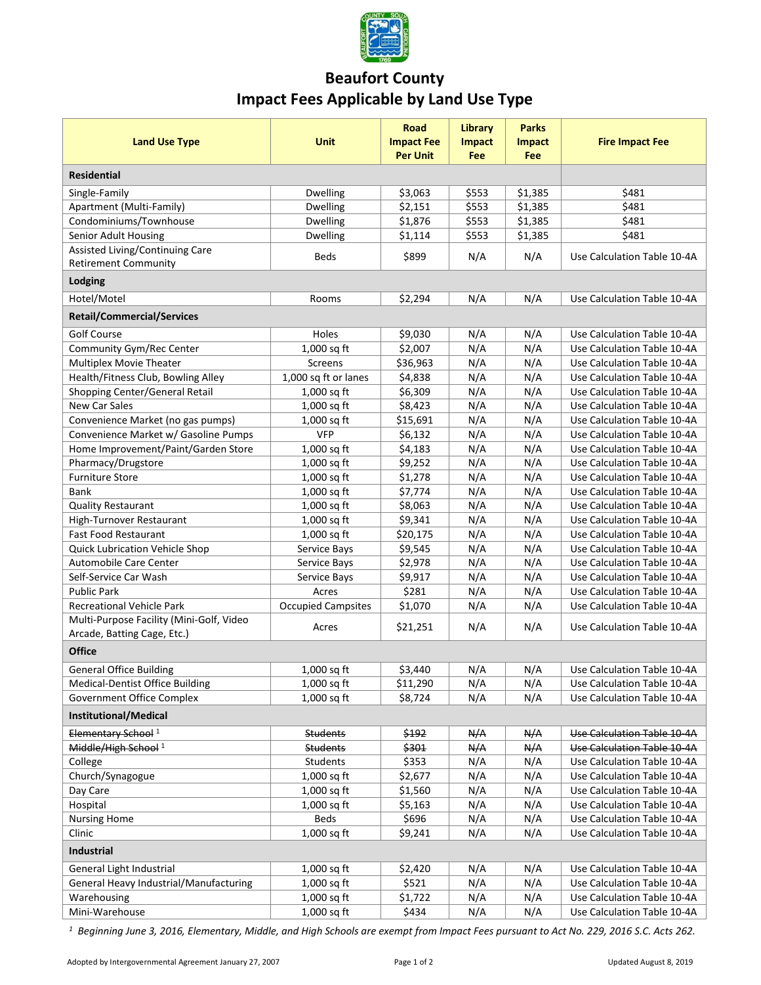

## **Beaufort County Impact Fees Applicable by Land Use Type**

| <b>Land Use Type</b>                                                                                                      | <b>Unit</b>                  | <b>Road</b><br><b>Impact Fee</b><br><b>Per Unit</b> | Library<br><b>Impact</b><br>Fee | <b>Parks</b><br><b>Impact</b><br>Fee | <b>Fire Impact Fee</b>      |  |  |  |
|---------------------------------------------------------------------------------------------------------------------------|------------------------------|-----------------------------------------------------|---------------------------------|--------------------------------------|-----------------------------|--|--|--|
| <b>Residential</b>                                                                                                        |                              |                                                     |                                 |                                      |                             |  |  |  |
| Single-Family                                                                                                             | Dwelling                     | \$3,063                                             | \$553                           | \$1,385                              | \$481                       |  |  |  |
| Apartment (Multi-Family)                                                                                                  | Dwelling                     | \$2,151                                             | \$553                           | \$1,385                              | \$481                       |  |  |  |
| Condominiums/Townhouse                                                                                                    | Dwelling                     | \$1,876                                             | \$553                           | \$1,385                              | \$481                       |  |  |  |
| Senior Adult Housing                                                                                                      | <b>Dwelling</b>              | \$1,114                                             | \$553                           | \$1,385                              | \$481                       |  |  |  |
| Assisted Living/Continuing Care                                                                                           |                              |                                                     |                                 |                                      |                             |  |  |  |
| <b>Retirement Community</b>                                                                                               | <b>Beds</b>                  | \$899                                               | N/A                             | N/A                                  | Use Calculation Table 10-4A |  |  |  |
| Lodging                                                                                                                   |                              |                                                     |                                 |                                      |                             |  |  |  |
| Hotel/Motel                                                                                                               | Rooms                        | \$2,294                                             | N/A                             | N/A                                  | Use Calculation Table 10-4A |  |  |  |
| <b>Retail/Commercial/Services</b>                                                                                         |                              |                                                     |                                 |                                      |                             |  |  |  |
| <b>Golf Course</b>                                                                                                        | Holes                        | \$9,030                                             | N/A                             | N/A                                  | Use Calculation Table 10-4A |  |  |  |
| Community Gym/Rec Center                                                                                                  | 1,000 sq ft                  | \$2,007                                             | N/A                             | N/A                                  | Use Calculation Table 10-4A |  |  |  |
| Multiplex Movie Theater                                                                                                   | Screens                      | \$36,963                                            | N/A                             | N/A                                  | Use Calculation Table 10-4A |  |  |  |
| Health/Fitness Club, Bowling Alley                                                                                        | 1,000 sq ft or lanes         | \$4,838                                             | N/A                             | N/A                                  | Use Calculation Table 10-4A |  |  |  |
| Shopping Center/General Retail                                                                                            | $1,000$ sq ft                | \$6,309                                             | N/A                             | N/A                                  | Use Calculation Table 10-4A |  |  |  |
| <b>New Car Sales</b>                                                                                                      | 1,000 sq ft                  | \$8,423                                             | N/A                             | N/A                                  | Use Calculation Table 10-4A |  |  |  |
| Convenience Market (no gas pumps)                                                                                         | 1,000 sq ft                  | \$15,691                                            | N/A                             | N/A                                  | Use Calculation Table 10-4A |  |  |  |
| Convenience Market w/ Gasoline Pumps                                                                                      | <b>VFP</b>                   | \$6,132                                             | N/A                             | N/A                                  | Use Calculation Table 10-4A |  |  |  |
| Home Improvement/Paint/Garden Store                                                                                       | $1,000$ sq ft                | \$4,183                                             | N/A                             | N/A                                  | Use Calculation Table 10-4A |  |  |  |
| Pharmacy/Drugstore                                                                                                        | 1,000 sq ft                  | \$9,252                                             | N/A                             | N/A                                  | Use Calculation Table 10-4A |  |  |  |
| <b>Furniture Store</b>                                                                                                    | 1,000 sq ft                  | \$1,278                                             | N/A                             | N/A                                  | Use Calculation Table 10-4A |  |  |  |
| <b>Bank</b>                                                                                                               | 1,000 sq ft                  | \$7,774                                             | N/A                             | N/A                                  | Use Calculation Table 10-4A |  |  |  |
| Quality Restaurant                                                                                                        | 1,000 sq ft                  | \$8,063                                             | N/A                             | N/A                                  | Use Calculation Table 10-4A |  |  |  |
| High-Turnover Restaurant                                                                                                  | 1,000 sq ft                  | \$9,341                                             | N/A                             | N/A                                  | Use Calculation Table 10-4A |  |  |  |
| <b>Fast Food Restaurant</b>                                                                                               | 1,000 sq ft                  | \$20,175                                            | N/A                             | N/A                                  | Use Calculation Table 10-4A |  |  |  |
| <b>Quick Lubrication Vehicle Shop</b>                                                                                     | Service Bays                 | \$9,545                                             | N/A                             | N/A                                  | Use Calculation Table 10-4A |  |  |  |
| Automobile Care Center                                                                                                    | Service Bays                 | \$2,978                                             | N/A                             | N/A                                  | Use Calculation Table 10-4A |  |  |  |
| Self-Service Car Wash                                                                                                     | Service Bays                 | \$9,917                                             | N/A                             | N/A                                  | Use Calculation Table 10-4A |  |  |  |
| <b>Public Park</b>                                                                                                        | Acres                        | \$281                                               | N/A                             | N/A                                  | Use Calculation Table 10-4A |  |  |  |
| <b>Recreational Vehicle Park</b>                                                                                          | <b>Occupied Campsites</b>    | \$1,070                                             | N/A                             | N/A                                  | Use Calculation Table 10-4A |  |  |  |
| Multi-Purpose Facility (Mini-Golf, Video                                                                                  | Acres                        | \$21,251                                            | N/A                             | N/A                                  | Use Calculation Table 10-4A |  |  |  |
| Arcade, Batting Cage, Etc.)<br><b>Office</b>                                                                              |                              |                                                     |                                 |                                      |                             |  |  |  |
| <b>General Office Building</b>                                                                                            |                              | \$3,440                                             | N/A                             | N/A                                  | Use Calculation Table 10-4A |  |  |  |
| <b>Medical-Dentist Office Building</b>                                                                                    | $1,000$ sq ft<br>1,000 sq ft | \$11,290                                            | N/A                             | N/A                                  | Use Calculation Table 10-4A |  |  |  |
|                                                                                                                           |                              |                                                     |                                 |                                      |                             |  |  |  |
| \$8,724<br>1,000 sq ft<br>N/A<br>N/A<br>Government Office Complex<br>Use Calculation Table 10-4A<br>Institutional/Medical |                              |                                                     |                                 |                                      |                             |  |  |  |
| Elementary School <sup>1</sup>                                                                                            | <b>Students</b>              | \$192                                               | N/A                             | N/A                                  | Use Calculation Table 10-4A |  |  |  |
| Middle/High School <sup>1</sup>                                                                                           | <b>Students</b>              | \$301                                               | N/A                             | N/A                                  | Use Calculation Table 10-4A |  |  |  |
| College                                                                                                                   | Students                     | \$353                                               | N/A                             | N/A                                  | Use Calculation Table 10-4A |  |  |  |
| Church/Synagogue                                                                                                          | $1,000$ sq ft                | \$2,677                                             | N/A                             | N/A                                  | Use Calculation Table 10-4A |  |  |  |
| Day Care                                                                                                                  | 1,000 sq ft                  | \$1,560                                             | N/A                             | N/A                                  | Use Calculation Table 10-4A |  |  |  |
| Hospital                                                                                                                  | 1,000 sq ft                  | \$5,163                                             | N/A                             | N/A                                  | Use Calculation Table 10-4A |  |  |  |
| <b>Nursing Home</b>                                                                                                       | <b>Beds</b>                  | \$696                                               | N/A                             | N/A                                  | Use Calculation Table 10-4A |  |  |  |
| Clinic                                                                                                                    | 1,000 sq ft                  | \$9,241                                             | N/A                             | N/A                                  | Use Calculation Table 10-4A |  |  |  |
| <b>Industrial</b>                                                                                                         |                              |                                                     |                                 |                                      |                             |  |  |  |
|                                                                                                                           |                              |                                                     | N/A                             | N/A                                  | Use Calculation Table 10-4A |  |  |  |
| General Light Industrial<br>General Heavy Industrial/Manufacturing                                                        | 1,000 sq ft<br>1,000 sq ft   | \$2,420<br>\$521                                    | N/A                             | N/A                                  | Use Calculation Table 10-4A |  |  |  |
| Warehousing                                                                                                               | 1,000 sq ft                  | \$1,722                                             | N/A                             | N/A                                  | Use Calculation Table 10-4A |  |  |  |
| Mini-Warehouse                                                                                                            | 1,000 sq ft                  | \$434                                               | N/A                             | N/A                                  | Use Calculation Table 10-4A |  |  |  |
|                                                                                                                           |                              |                                                     |                                 |                                      |                             |  |  |  |

*1 Beginning June 3, 2016, Elementary, Middle, and High Schools are exempt from Impact Fees pursuant to Act No. 229, 2016 S.C. Acts 262.*